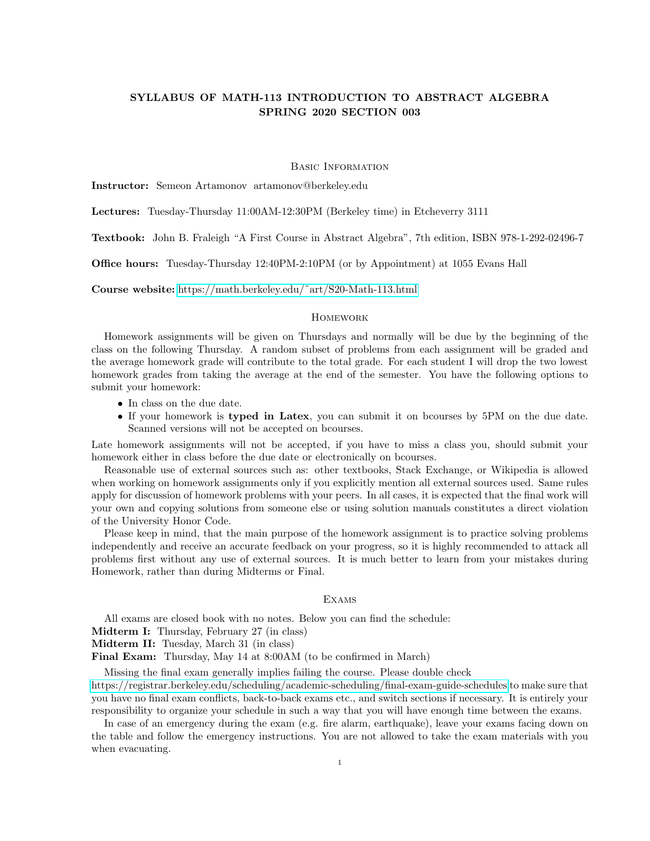# SYLLABUS OF MATH-113 INTRODUCTION TO ABSTRACT ALGEBRA SPRING 2020 SECTION 003

#### Basic Information

Instructor: Semeon Artamonov artamonov@berkeley.edu

Lectures: Tuesday-Thursday 11:00AM-12:30PM (Berkeley time) in Etcheverry 3111

Textbook: John B. Fraleigh "A First Course in Abstract Algebra", 7th edition, ISBN 978-1-292-02496-7

Office hours: Tuesday-Thursday 12:40PM-2:10PM (or by Appointment) at 1055 Evans Hall

Course website: [https://math.berkeley.edu/˜art/S20-Math-113.html](https://math.berkeley.edu/~art/S20-Math-113.html)

# **HOMEWORK**

Homework assignments will be given on Thursdays and normally will be due by the beginning of the class on the following Thursday. A random subset of problems from each assignment will be graded and the average homework grade will contribute to the total grade. For each student I will drop the two lowest homework grades from taking the average at the end of the semester. You have the following options to submit your homework:

- In class on the due date.
- If your homework is typed in Latex, you can submit it on bcourses by 5PM on the due date. Scanned versions will not be accepted on bcourses.

Late homework assignments will not be accepted, if you have to miss a class you, should submit your homework either in class before the due date or electronically on bcourses.

Reasonable use of external sources such as: other textbooks, Stack Exchange, or Wikipedia is allowed when working on homework assignments only if you explicitly mention all external sources used. Same rules apply for discussion of homework problems with your peers. In all cases, it is expected that the final work will your own and copying solutions from someone else or using solution manuals constitutes a direct violation of the University Honor Code.

Please keep in mind, that the main purpose of the homework assignment is to practice solving problems independently and receive an accurate feedback on your progress, so it is highly recommended to attack all problems first without any use of external sources. It is much better to learn from your mistakes during Homework, rather than during Midterms or Final.

## **EXAMS**

All exams are closed book with no notes. Below you can find the schedule:

Midterm I: Thursday, February 27 (in class)

Midterm II: Tuesday, March 31 (in class)

Final Exam: Thursday, May 14 at 8:00AM (to be confirmed in March)

Missing the final exam generally implies failing the course. Please double check

<https://registrar.berkeley.edu/scheduling/academic-scheduling/final-exam-guide-schedules> to make sure that you have no final exam conflicts, back-to-back exams etc., and switch sections if necessary. It is entirely your responsibility to organize your schedule in such a way that you will have enough time between the exams.

In case of an emergency during the exam (e.g. fire alarm, earthquake), leave your exams facing down on the table and follow the emergency instructions. You are not allowed to take the exam materials with you when evacuating.